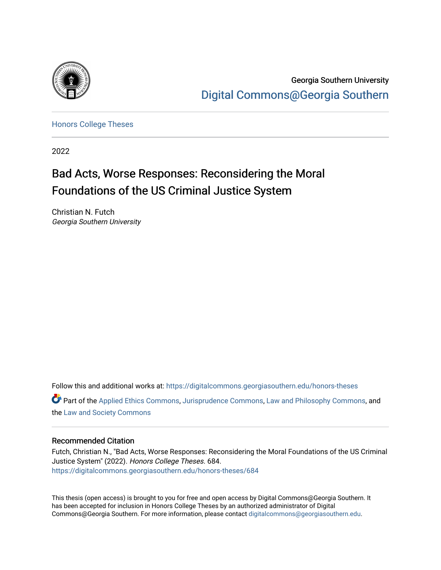

Georgia Southern University [Digital Commons@Georgia Southern](https://digitalcommons.georgiasouthern.edu/) 

[Honors College Theses](https://digitalcommons.georgiasouthern.edu/honors-theses) 

2022

# Bad Acts, Worse Responses: Reconsidering the Moral Foundations of the US Criminal Justice System

Christian N. Futch Georgia Southern University

Follow this and additional works at: [https://digitalcommons.georgiasouthern.edu/honors-theses](https://digitalcommons.georgiasouthern.edu/honors-theses?utm_source=digitalcommons.georgiasouthern.edu%2Fhonors-theses%2F684&utm_medium=PDF&utm_campaign=PDFCoverPages) Part of the [Applied Ethics Commons](http://network.bepress.com/hgg/discipline/1392?utm_source=digitalcommons.georgiasouthern.edu%2Fhonors-theses%2F684&utm_medium=PDF&utm_campaign=PDFCoverPages), [Jurisprudence Commons,](http://network.bepress.com/hgg/discipline/610?utm_source=digitalcommons.georgiasouthern.edu%2Fhonors-theses%2F684&utm_medium=PDF&utm_campaign=PDFCoverPages) [Law and Philosophy Commons,](http://network.bepress.com/hgg/discipline/1299?utm_source=digitalcommons.georgiasouthern.edu%2Fhonors-theses%2F684&utm_medium=PDF&utm_campaign=PDFCoverPages) and the [Law and Society Commons](http://network.bepress.com/hgg/discipline/853?utm_source=digitalcommons.georgiasouthern.edu%2Fhonors-theses%2F684&utm_medium=PDF&utm_campaign=PDFCoverPages) 

### Recommended Citation

Futch, Christian N., "Bad Acts, Worse Responses: Reconsidering the Moral Foundations of the US Criminal Justice System" (2022). Honors College Theses. 684. [https://digitalcommons.georgiasouthern.edu/honors-theses/684](https://digitalcommons.georgiasouthern.edu/honors-theses/684?utm_source=digitalcommons.georgiasouthern.edu%2Fhonors-theses%2F684&utm_medium=PDF&utm_campaign=PDFCoverPages)

This thesis (open access) is brought to you for free and open access by Digital Commons@Georgia Southern. It has been accepted for inclusion in Honors College Theses by an authorized administrator of Digital Commons@Georgia Southern. For more information, please contact [digitalcommons@georgiasouthern.edu](mailto:digitalcommons@georgiasouthern.edu).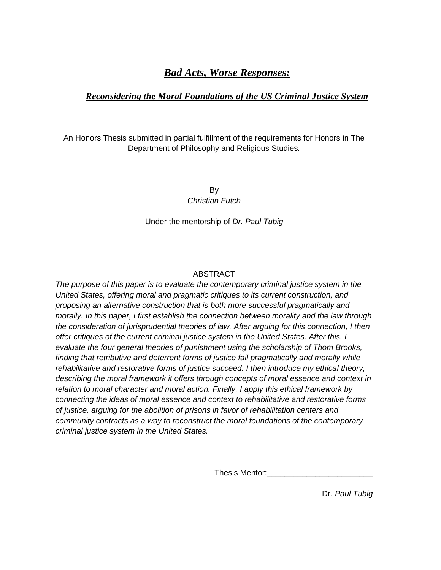# *Bad Acts, Worse Responses:*

# *Reconsidering the Moral Foundations of the US Criminal Justice System*

An Honors Thesis submitted in partial fulfillment of the requirements for Honors in The Department of Philosophy and Religious Studies*.*

> By *Christian Futch*

Under the mentorship of *Dr. Paul Tubig*

# ABSTRACT

*The purpose of this paper is to evaluate the contemporary criminal justice system in the United States, offering moral and pragmatic critiques to its current construction, and proposing an alternative construction that is both more successful pragmatically and morally. In this paper, I first establish the connection between morality and the law through the consideration of jurisprudential theories of law. After arguing for this connection, I then offer critiques of the current criminal justice system in the United States. After this, I evaluate the four general theories of punishment using the scholarship of Thom Brooks, finding that retributive and deterrent forms of justice fail pragmatically and morally while rehabilitative and restorative forms of justice succeed. I then introduce my ethical theory, describing the moral framework it offers through concepts of moral essence and context in relation to moral character and moral action. Finally, I apply this ethical framework by connecting the ideas of moral essence and context to rehabilitative and restorative forms of justice, arguing for the abolition of prisons in favor of rehabilitation centers and community contracts as a way to reconstruct the moral foundations of the contemporary criminal justice system in the United States.*

Thesis Mentor:

Dr. *Paul Tubig*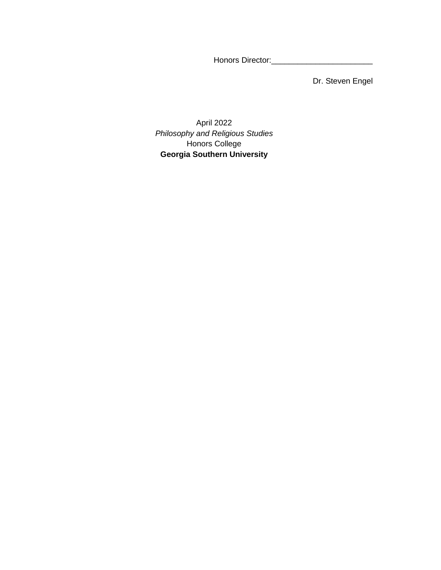Honors Director:\_\_\_\_\_\_\_\_\_\_\_\_\_\_\_\_\_\_\_\_\_\_\_

Dr. Steven Engel

April 2022 *Philosophy and Religious Studies* Honors College **Georgia Southern University**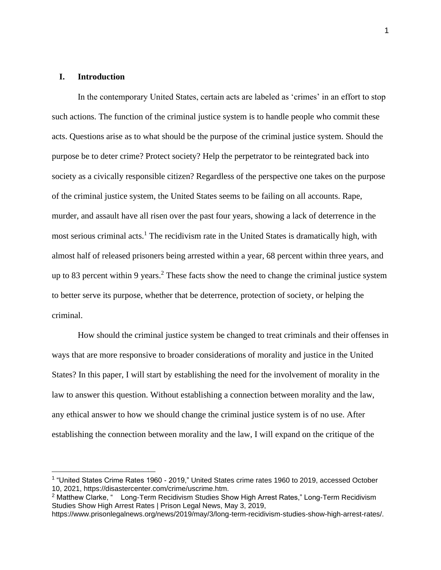# **I. Introduction**

In the contemporary United States, certain acts are labeled as 'crimes' in an effort to stop such actions. The function of the criminal justice system is to handle people who commit these acts. Questions arise as to what should be the purpose of the criminal justice system. Should the purpose be to deter crime? Protect society? Help the perpetrator to be reintegrated back into society as a civically responsible citizen? Regardless of the perspective one takes on the purpose of the criminal justice system, the United States seems to be failing on all accounts. Rape, murder, and assault have all risen over the past four years, showing a lack of deterrence in the most serious criminal acts.<sup>1</sup> The recidivism rate in the United States is dramatically high, with almost half of released prisoners being arrested within a year, 68 percent within three years, and up to 83 percent within 9 years.<sup>2</sup> These facts show the need to change the criminal justice system to better serve its purpose, whether that be deterrence, protection of society, or helping the criminal.

How should the criminal justice system be changed to treat criminals and their offenses in ways that are more responsive to broader considerations of morality and justice in the United States? In this paper, I will start by establishing the need for the involvement of morality in the law to answer this question. Without establishing a connection between morality and the law, any ethical answer to how we should change the criminal justice system is of no use. After establishing the connection between morality and the law, I will expand on the critique of the

<sup>&</sup>lt;sup>1</sup> "United States Crime Rates 1960 - 2019," United States crime rates 1960 to 2019, accessed October 10, 2021, https://disastercenter.com/crime/uscrime.htm.

 $2$  Matthew Clarke, " Long-Term Recidivism Studies Show High Arrest Rates," Long-Term Recidivism Studies Show High Arrest Rates | Prison Legal News, May 3, 2019,

https://www.prisonlegalnews.org/news/2019/may/3/long-term-recidivism-studies-show-high-arrest-rates/.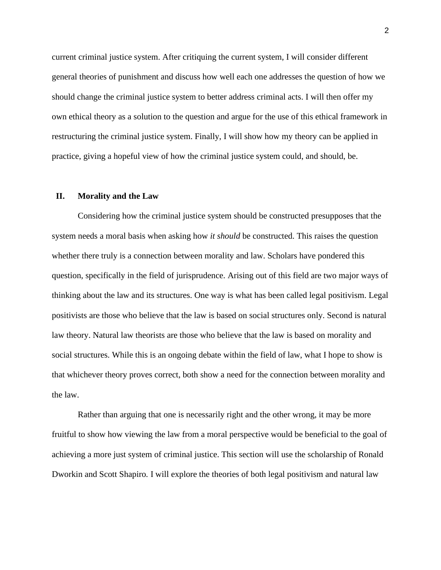current criminal justice system. After critiquing the current system, I will consider different general theories of punishment and discuss how well each one addresses the question of how we should change the criminal justice system to better address criminal acts. I will then offer my own ethical theory as a solution to the question and argue for the use of this ethical framework in restructuring the criminal justice system. Finally, I will show how my theory can be applied in practice, giving a hopeful view of how the criminal justice system could, and should, be.

#### **II. Morality and the Law**

Considering how the criminal justice system should be constructed presupposes that the system needs a moral basis when asking how *it should* be constructed. This raises the question whether there truly is a connection between morality and law. Scholars have pondered this question, specifically in the field of jurisprudence. Arising out of this field are two major ways of thinking about the law and its structures. One way is what has been called legal positivism. Legal positivists are those who believe that the law is based on social structures only. Second is natural law theory. Natural law theorists are those who believe that the law is based on morality and social structures. While this is an ongoing debate within the field of law, what I hope to show is that whichever theory proves correct, both show a need for the connection between morality and the law.

Rather than arguing that one is necessarily right and the other wrong, it may be more fruitful to show how viewing the law from a moral perspective would be beneficial to the goal of achieving a more just system of criminal justice. This section will use the scholarship of Ronald Dworkin and Scott Shapiro*.* I will explore the theories of both legal positivism and natural law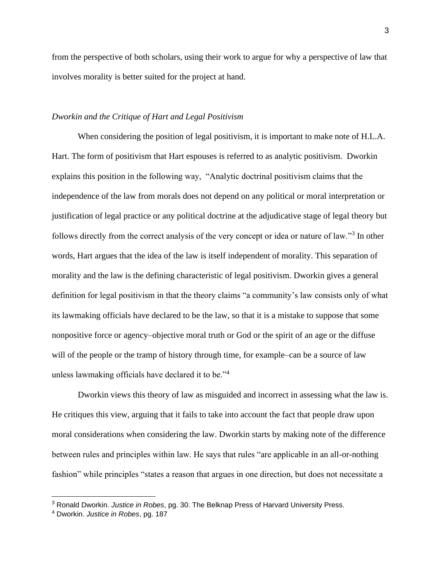from the perspective of both scholars, using their work to argue for why a perspective of law that involves morality is better suited for the project at hand.

## *Dworkin and the Critique of Hart and Legal Positivism*

When considering the position of legal positivism, it is important to make note of H.L.A. Hart. The form of positivism that Hart espouses is referred to as analytic positivism. Dworkin explains this position in the following way, "Analytic doctrinal positivism claims that the independence of the law from morals does not depend on any political or moral interpretation or justification of legal practice or any political doctrine at the adjudicative stage of legal theory but follows directly from the correct analysis of the very concept or idea or nature of law."<sup>3</sup> In other words, Hart argues that the idea of the law is itself independent of morality. This separation of morality and the law is the defining characteristic of legal positivism. Dworkin gives a general definition for legal positivism in that the theory claims "a community's law consists only of what its lawmaking officials have declared to be the law, so that it is a mistake to suppose that some nonpositive force or agency–objective moral truth or God or the spirit of an age or the diffuse will of the people or the tramp of history through time, for example–can be a source of law unless lawmaking officials have declared it to be."<sup>4</sup>

Dworkin views this theory of law as misguided and incorrect in assessing what the law is. He critiques this view, arguing that it fails to take into account the fact that people draw upon moral considerations when considering the law. Dworkin starts by making note of the difference between rules and principles within law. He says that rules "are applicable in an all-or-nothing fashion" while principles "states a reason that argues in one direction, but does not necessitate a

<sup>3</sup> Ronald Dworkin. *Justice in Robes*, pg. 30. The Belknap Press of Harvard University Press.

<sup>4</sup> Dworkin. *Justice in Robes*, pg. 187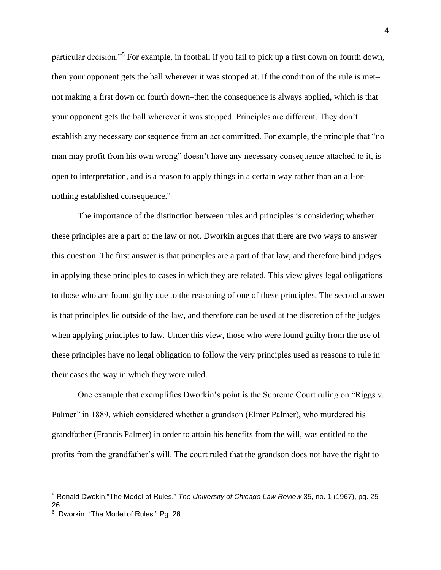particular decision."<sup>5</sup> For example, in football if you fail to pick up a first down on fourth down, then your opponent gets the ball wherever it was stopped at. If the condition of the rule is met– not making a first down on fourth down–then the consequence is always applied, which is that your opponent gets the ball wherever it was stopped. Principles are different. They don't establish any necessary consequence from an act committed. For example, the principle that "no man may profit from his own wrong" doesn't have any necessary consequence attached to it, is open to interpretation, and is a reason to apply things in a certain way rather than an all-ornothing established consequence.<sup>6</sup>

The importance of the distinction between rules and principles is considering whether these principles are a part of the law or not. Dworkin argues that there are two ways to answer this question. The first answer is that principles are a part of that law, and therefore bind judges in applying these principles to cases in which they are related. This view gives legal obligations to those who are found guilty due to the reasoning of one of these principles. The second answer is that principles lie outside of the law, and therefore can be used at the discretion of the judges when applying principles to law. Under this view, those who were found guilty from the use of these principles have no legal obligation to follow the very principles used as reasons to rule in their cases the way in which they were ruled.

One example that exemplifies Dworkin's point is the Supreme Court ruling on "Riggs v. Palmer" in 1889, which considered whether a grandson (Elmer Palmer), who murdered his grandfather (Francis Palmer) in order to attain his benefits from the will, was entitled to the profits from the grandfather's will. The court ruled that the grandson does not have the right to

<sup>5</sup> Ronald Dwokin."The Model of Rules." *The University of Chicago Law Review* 35, no. 1 (1967), pg. 25- 26.

 $6$  Dworkin. "The Model of Rules." Pg. 26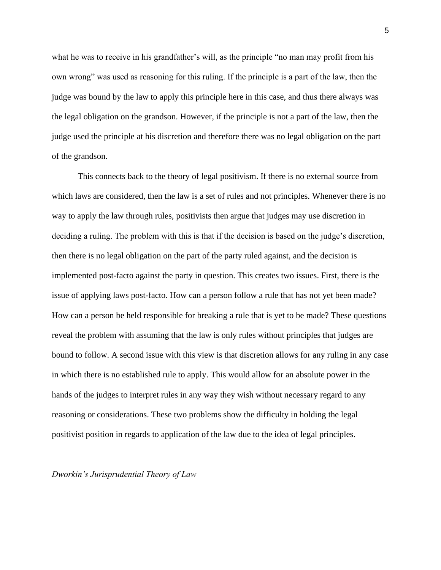what he was to receive in his grandfather's will, as the principle "no man may profit from his own wrong" was used as reasoning for this ruling. If the principle is a part of the law, then the judge was bound by the law to apply this principle here in this case, and thus there always was the legal obligation on the grandson. However, if the principle is not a part of the law, then the judge used the principle at his discretion and therefore there was no legal obligation on the part of the grandson.

This connects back to the theory of legal positivism. If there is no external source from which laws are considered, then the law is a set of rules and not principles. Whenever there is no way to apply the law through rules, positivists then argue that judges may use discretion in deciding a ruling. The problem with this is that if the decision is based on the judge's discretion, then there is no legal obligation on the part of the party ruled against, and the decision is implemented post-facto against the party in question. This creates two issues. First, there is the issue of applying laws post-facto. How can a person follow a rule that has not yet been made? How can a person be held responsible for breaking a rule that is yet to be made? These questions reveal the problem with assuming that the law is only rules without principles that judges are bound to follow. A second issue with this view is that discretion allows for any ruling in any case in which there is no established rule to apply. This would allow for an absolute power in the hands of the judges to interpret rules in any way they wish without necessary regard to any reasoning or considerations. These two problems show the difficulty in holding the legal positivist position in regards to application of the law due to the idea of legal principles.

*Dworkin's Jurisprudential Theory of Law*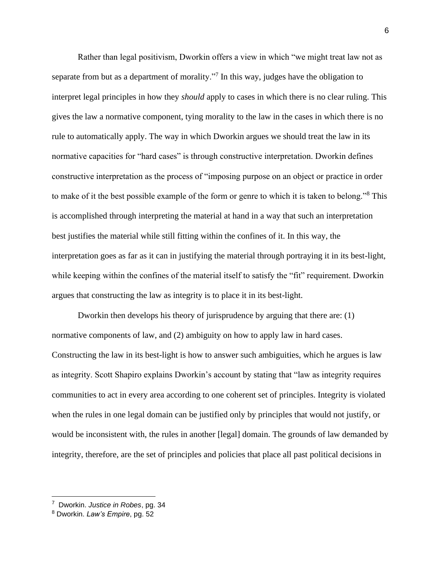Rather than legal positivism, Dworkin offers a view in which "we might treat law not as separate from but as a department of morality."<sup>7</sup> In this way, judges have the obligation to interpret legal principles in how they *should* apply to cases in which there is no clear ruling. This gives the law a normative component, tying morality to the law in the cases in which there is no rule to automatically apply. The way in which Dworkin argues we should treat the law in its normative capacities for "hard cases" is through constructive interpretation. Dworkin defines constructive interpretation as the process of "imposing purpose on an object or practice in order to make of it the best possible example of the form or genre to which it is taken to belong."<sup>8</sup> This is accomplished through interpreting the material at hand in a way that such an interpretation best justifies the material while still fitting within the confines of it. In this way, the interpretation goes as far as it can in justifying the material through portraying it in its best-light, while keeping within the confines of the material itself to satisfy the "fit" requirement. Dworkin argues that constructing the law as integrity is to place it in its best-light.

Dworkin then develops his theory of jurisprudence by arguing that there are: (1) normative components of law, and (2) ambiguity on how to apply law in hard cases. Constructing the law in its best-light is how to answer such ambiguities, which he argues is law as integrity. Scott Shapiro explains Dworkin's account by stating that "law as integrity requires communities to act in every area according to one coherent set of principles. Integrity is violated when the rules in one legal domain can be justified only by principles that would not justify, or would be inconsistent with, the rules in another [legal] domain. The grounds of law demanded by integrity, therefore, are the set of principles and policies that place all past political decisions in

<sup>7</sup> Dworkin. *Justice in Robes*, pg. 34

<sup>8</sup> Dworkin. *Law's Empire*, pg. 52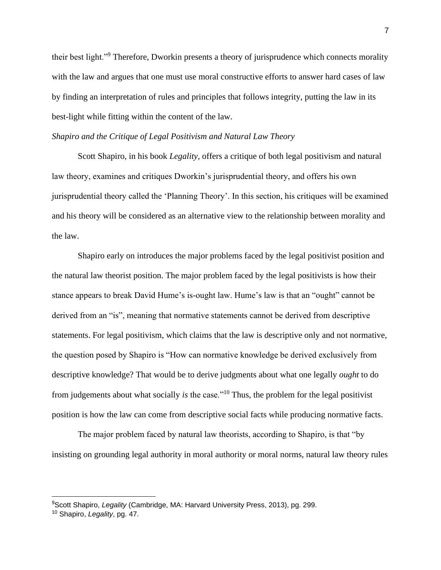their best light."<sup>9</sup> Therefore, Dworkin presents a theory of jurisprudence which connects morality with the law and argues that one must use moral constructive efforts to answer hard cases of law by finding an interpretation of rules and principles that follows integrity, putting the law in its best-light while fitting within the content of the law.

#### *Shapiro and the Critique of Legal Positivism and Natural Law Theory*

Scott Shapiro, in his book *Legality*, offers a critique of both legal positivism and natural law theory, examines and critiques Dworkin's jurisprudential theory, and offers his own jurisprudential theory called the 'Planning Theory'. In this section, his critiques will be examined and his theory will be considered as an alternative view to the relationship between morality and the law.

Shapiro early on introduces the major problems faced by the legal positivist position and the natural law theorist position. The major problem faced by the legal positivists is how their stance appears to break David Hume's is-ought law. Hume's law is that an "ought" cannot be derived from an "is", meaning that normative statements cannot be derived from descriptive statements. For legal positivism, which claims that the law is descriptive only and not normative, the question posed by Shapiro is "How can normative knowledge be derived exclusively from descriptive knowledge? That would be to derive judgments about what one legally *ought* to do from judgements about what socially *is* the case."<sup>10</sup> Thus, the problem for the legal positivist position is how the law can come from descriptive social facts while producing normative facts.

The major problem faced by natural law theorists, according to Shapiro, is that "by insisting on grounding legal authority in moral authority or moral norms, natural law theory rules

<sup>9</sup>Scott Shapiro, *Legality* (Cambridge, MA: Harvard University Press, 2013), pg. 299.

<sup>10</sup> Shapiro, *Legality*, pg. 47.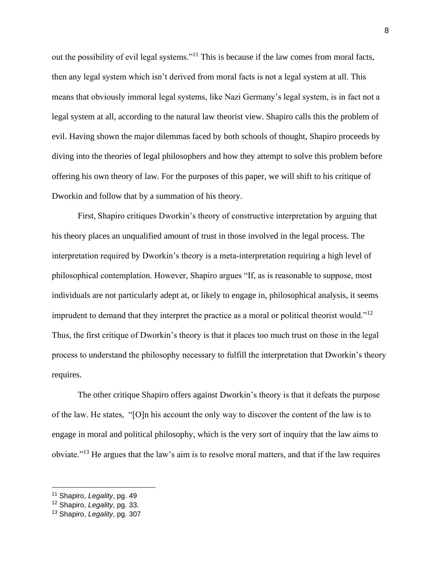out the possibility of evil legal systems."<sup>11</sup> This is because if the law comes from moral facts, then any legal system which isn't derived from moral facts is not a legal system at all. This means that obviously immoral legal systems, like Nazi Germany's legal system, is in fact not a legal system at all, according to the natural law theorist view. Shapiro calls this the problem of evil. Having shown the major dilemmas faced by both schools of thought, Shapiro proceeds by diving into the theories of legal philosophers and how they attempt to solve this problem before offering his own theory of law. For the purposes of this paper, we will shift to his critique of Dworkin and follow that by a summation of his theory.

First, Shapiro critiques Dworkin's theory of constructive interpretation by arguing that his theory places an unqualified amount of trust in those involved in the legal process. The interpretation required by Dworkin's theory is a meta-interpretation requiring a high level of philosophical contemplation. However, Shapiro argues "If, as is reasonable to suppose, most individuals are not particularly adept at, or likely to engage in, philosophical analysis, it seems imprudent to demand that they interpret the practice as a moral or political theorist would."<sup>12</sup> Thus, the first critique of Dworkin's theory is that it places too much trust on those in the legal process to understand the philosophy necessary to fulfill the interpretation that Dworkin's theory requires.

The other critique Shapiro offers against Dworkin's theory is that it defeats the purpose of the law. He states, "[O]n his account the only way to discover the content of the law is to engage in moral and political philosophy, which is the very sort of inquiry that the law aims to obviate."<sup>13</sup> He argues that the law's aim is to resolve moral matters, and that if the law requires

<sup>11</sup> Shapiro, *Legality*, pg. 49

<sup>12</sup> Shapiro, *Legality*, pg. 33.

<sup>13</sup> Shapiro, *Legality*, pg. 307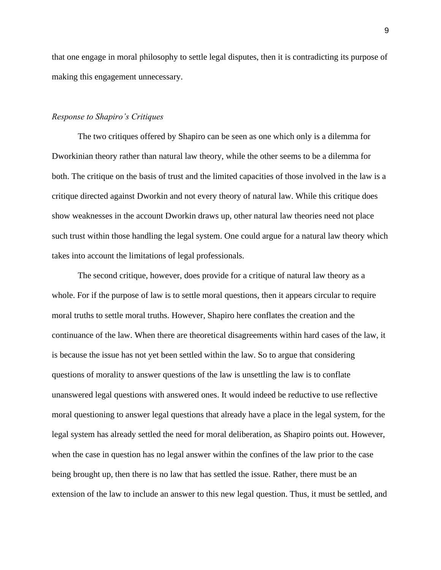that one engage in moral philosophy to settle legal disputes, then it is contradicting its purpose of making this engagement unnecessary.

#### *Response to Shapiro's Critiques*

The two critiques offered by Shapiro can be seen as one which only is a dilemma for Dworkinian theory rather than natural law theory, while the other seems to be a dilemma for both. The critique on the basis of trust and the limited capacities of those involved in the law is a critique directed against Dworkin and not every theory of natural law. While this critique does show weaknesses in the account Dworkin draws up, other natural law theories need not place such trust within those handling the legal system. One could argue for a natural law theory which takes into account the limitations of legal professionals.

The second critique, however, does provide for a critique of natural law theory as a whole. For if the purpose of law is to settle moral questions, then it appears circular to require moral truths to settle moral truths. However, Shapiro here conflates the creation and the continuance of the law. When there are theoretical disagreements within hard cases of the law, it is because the issue has not yet been settled within the law. So to argue that considering questions of morality to answer questions of the law is unsettling the law is to conflate unanswered legal questions with answered ones. It would indeed be reductive to use reflective moral questioning to answer legal questions that already have a place in the legal system, for the legal system has already settled the need for moral deliberation, as Shapiro points out. However, when the case in question has no legal answer within the confines of the law prior to the case being brought up, then there is no law that has settled the issue. Rather, there must be an extension of the law to include an answer to this new legal question. Thus, it must be settled, and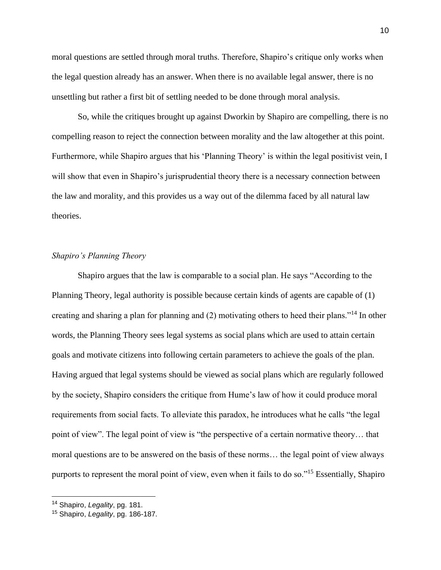moral questions are settled through moral truths. Therefore, Shapiro's critique only works when the legal question already has an answer. When there is no available legal answer, there is no unsettling but rather a first bit of settling needed to be done through moral analysis.

So, while the critiques brought up against Dworkin by Shapiro are compelling, there is no compelling reason to reject the connection between morality and the law altogether at this point. Furthermore, while Shapiro argues that his 'Planning Theory' is within the legal positivist vein, I will show that even in Shapiro's jurisprudential theory there is a necessary connection between the law and morality, and this provides us a way out of the dilemma faced by all natural law theories.

### *Shapiro's Planning Theory*

Shapiro argues that the law is comparable to a social plan. He says "According to the Planning Theory, legal authority is possible because certain kinds of agents are capable of (1) creating and sharing a plan for planning and (2) motivating others to heed their plans."<sup>14</sup> In other words, the Planning Theory sees legal systems as social plans which are used to attain certain goals and motivate citizens into following certain parameters to achieve the goals of the plan. Having argued that legal systems should be viewed as social plans which are regularly followed by the society, Shapiro considers the critique from Hume's law of how it could produce moral requirements from social facts. To alleviate this paradox, he introduces what he calls "the legal point of view". The legal point of view is "the perspective of a certain normative theory… that moral questions are to be answered on the basis of these norms… the legal point of view always purports to represent the moral point of view, even when it fails to do so."<sup>15</sup> Essentially, Shapiro

<sup>14</sup> Shapiro, *Legality*, pg. 181.

<sup>15</sup> Shapiro, *Legality*, pg. 186-187.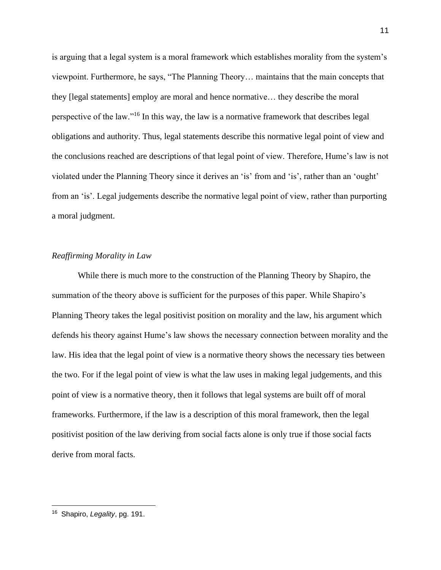is arguing that a legal system is a moral framework which establishes morality from the system's viewpoint. Furthermore, he says, "The Planning Theory… maintains that the main concepts that they [legal statements] employ are moral and hence normative… they describe the moral perspective of the law."<sup>16</sup> In this way, the law is a normative framework that describes legal obligations and authority. Thus, legal statements describe this normative legal point of view and the conclusions reached are descriptions of that legal point of view. Therefore, Hume's law is not violated under the Planning Theory since it derives an 'is' from and 'is', rather than an 'ought' from an 'is'. Legal judgements describe the normative legal point of view, rather than purporting a moral judgment.

#### *Reaffirming Morality in Law*

While there is much more to the construction of the Planning Theory by Shapiro, the summation of the theory above is sufficient for the purposes of this paper. While Shapiro's Planning Theory takes the legal positivist position on morality and the law, his argument which defends his theory against Hume's law shows the necessary connection between morality and the law. His idea that the legal point of view is a normative theory shows the necessary ties between the two. For if the legal point of view is what the law uses in making legal judgements, and this point of view is a normative theory, then it follows that legal systems are built off of moral frameworks. Furthermore, if the law is a description of this moral framework, then the legal positivist position of the law deriving from social facts alone is only true if those social facts derive from moral facts.

<sup>16</sup> Shapiro, *Legality*, pg. 191.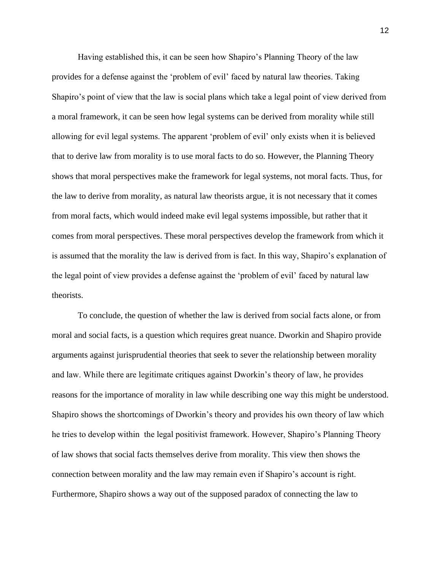Having established this, it can be seen how Shapiro's Planning Theory of the law provides for a defense against the 'problem of evil' faced by natural law theories. Taking Shapiro's point of view that the law is social plans which take a legal point of view derived from a moral framework, it can be seen how legal systems can be derived from morality while still allowing for evil legal systems. The apparent 'problem of evil' only exists when it is believed that to derive law from morality is to use moral facts to do so. However, the Planning Theory shows that moral perspectives make the framework for legal systems, not moral facts. Thus, for the law to derive from morality, as natural law theorists argue, it is not necessary that it comes from moral facts, which would indeed make evil legal systems impossible, but rather that it comes from moral perspectives. These moral perspectives develop the framework from which it is assumed that the morality the law is derived from is fact. In this way, Shapiro's explanation of the legal point of view provides a defense against the 'problem of evil' faced by natural law theorists.

To conclude, the question of whether the law is derived from social facts alone, or from moral and social facts, is a question which requires great nuance. Dworkin and Shapiro provide arguments against jurisprudential theories that seek to sever the relationship between morality and law. While there are legitimate critiques against Dworkin's theory of law, he provides reasons for the importance of morality in law while describing one way this might be understood. Shapiro shows the shortcomings of Dworkin's theory and provides his own theory of law which he tries to develop within the legal positivist framework. However, Shapiro's Planning Theory of law shows that social facts themselves derive from morality. This view then shows the connection between morality and the law may remain even if Shapiro's account is right. Furthermore, Shapiro shows a way out of the supposed paradox of connecting the law to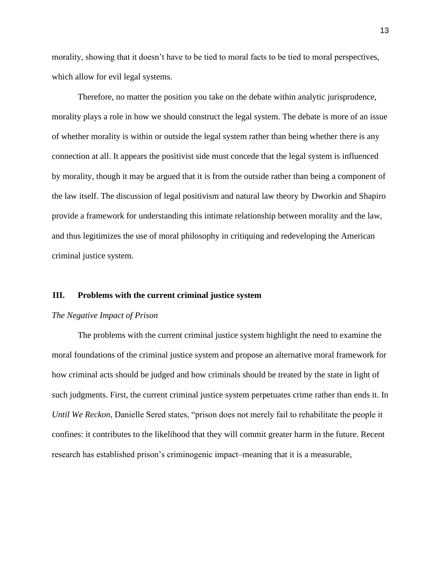morality, showing that it doesn't have to be tied to moral facts to be tied to moral perspectives, which allow for evil legal systems.

Therefore, no matter the position you take on the debate within analytic jurisprudence, morality plays a role in how we should construct the legal system. The debate is more of an issue of whether morality is within or outside the legal system rather than being whether there is any connection at all. It appears the positivist side must concede that the legal system is influenced by morality, though it may be argued that it is from the outside rather than being a component of the law itself. The discussion of legal positivism and natural law theory by Dworkin and Shapiro provide a framework for understanding this intimate relationship between morality and the law, and thus legitimizes the use of moral philosophy in critiquing and redeveloping the American criminal justice system.

#### **III. Problems with the current criminal justice system**

#### *The Negative Impact of Prison*

The problems with the current criminal justice system highlight the need to examine the moral foundations of the criminal justice system and propose an alternative moral framework for how criminal acts should be judged and how criminals should be treated by the state in light of such judgments. First, the current criminal justice system perpetuates crime rather than ends it. In *Until We Reckon*, Danielle Sered states, "prison does not merely fail to rehabilitate the people it confines: it contributes to the likelihood that they will commit greater harm in the future. Recent research has established prison's criminogenic impact–meaning that it is a measurable,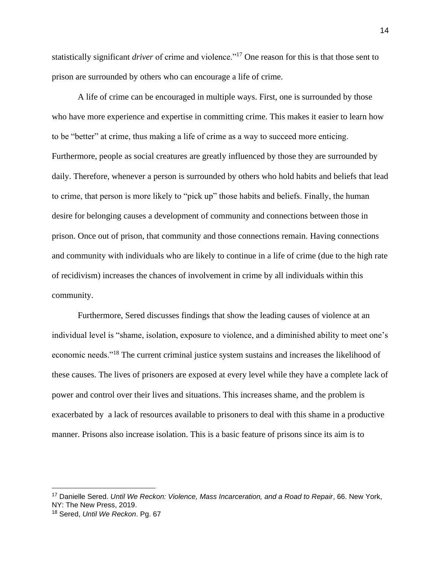statistically significant *driver* of crime and violence."<sup>17</sup> One reason for this is that those sent to prison are surrounded by others who can encourage a life of crime.

A life of crime can be encouraged in multiple ways. First, one is surrounded by those who have more experience and expertise in committing crime. This makes it easier to learn how to be "better" at crime, thus making a life of crime as a way to succeed more enticing. Furthermore, people as social creatures are greatly influenced by those they are surrounded by daily. Therefore, whenever a person is surrounded by others who hold habits and beliefs that lead to crime, that person is more likely to "pick up" those habits and beliefs. Finally, the human desire for belonging causes a development of community and connections between those in prison. Once out of prison, that community and those connections remain. Having connections and community with individuals who are likely to continue in a life of crime (due to the high rate of recidivism) increases the chances of involvement in crime by all individuals within this community.

Furthermore, Sered discusses findings that show the leading causes of violence at an individual level is "shame, isolation, exposure to violence, and a diminished ability to meet one's economic needs."<sup>18</sup> The current criminal justice system sustains and increases the likelihood of these causes. The lives of prisoners are exposed at every level while they have a complete lack of power and control over their lives and situations. This increases shame, and the problem is exacerbated by a lack of resources available to prisoners to deal with this shame in a productive manner. Prisons also increase isolation. This is a basic feature of prisons since its aim is to

<sup>17</sup> Danielle Sered. *Until We Reckon: Violence, Mass Incarceration, and a Road to Repair*, 66. New York, NY: The New Press, 2019.

<sup>18</sup> Sered, *Until We Reckon*. Pg. 67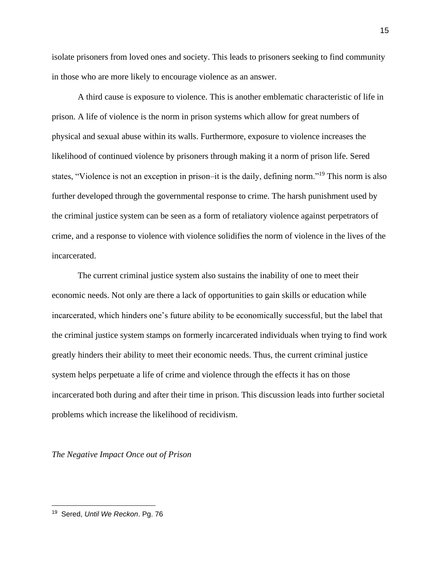isolate prisoners from loved ones and society. This leads to prisoners seeking to find community in those who are more likely to encourage violence as an answer.

A third cause is exposure to violence. This is another emblematic characteristic of life in prison. A life of violence is the norm in prison systems which allow for great numbers of physical and sexual abuse within its walls. Furthermore, exposure to violence increases the likelihood of continued violence by prisoners through making it a norm of prison life. Sered states, "Violence is not an exception in prison–it is the daily, defining norm."<sup>19</sup> This norm is also further developed through the governmental response to crime. The harsh punishment used by the criminal justice system can be seen as a form of retaliatory violence against perpetrators of crime, and a response to violence with violence solidifies the norm of violence in the lives of the incarcerated.

The current criminal justice system also sustains the inability of one to meet their economic needs. Not only are there a lack of opportunities to gain skills or education while incarcerated, which hinders one's future ability to be economically successful, but the label that the criminal justice system stamps on formerly incarcerated individuals when trying to find work greatly hinders their ability to meet their economic needs. Thus, the current criminal justice system helps perpetuate a life of crime and violence through the effects it has on those incarcerated both during and after their time in prison. This discussion leads into further societal problems which increase the likelihood of recidivism.

*The Negative Impact Once out of Prison*

<sup>19</sup> Sered, *Until We Reckon*. Pg. 76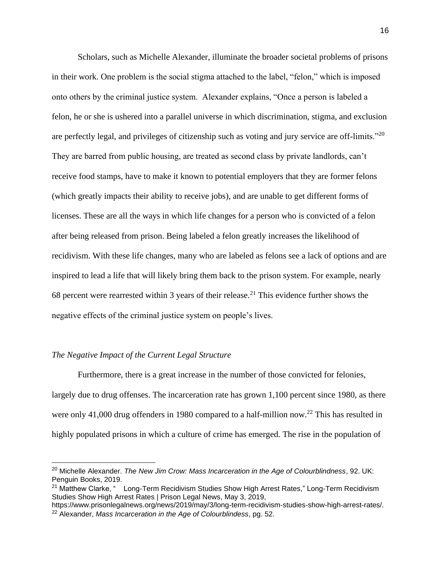Scholars, such as Michelle Alexander, illuminate the broader societal problems of prisons in their work. One problem is the social stigma attached to the label, "felon," which is imposed onto others by the criminal justice system. Alexander explains, "Once a person is labeled a felon, he or she is ushered into a parallel universe in which discrimination, stigma, and exclusion are perfectly legal, and privileges of citizenship such as voting and jury service are off-limits."<sup>20</sup> They are barred from public housing, are treated as second class by private landlords, can't receive food stamps, have to make it known to potential employers that they are former felons (which greatly impacts their ability to receive jobs), and are unable to get different forms of licenses. These are all the ways in which life changes for a person who is convicted of a felon after being released from prison. Being labeled a felon greatly increases the likelihood of recidivism. With these life changes, many who are labeled as felons see a lack of options and are inspired to lead a life that will likely bring them back to the prison system. For example, nearly 68 percent were rearrested within 3 years of their release.<sup>21</sup> This evidence further shows the negative effects of the criminal justice system on people's lives.

#### *The Negative Impact of the Current Legal Structure*

Furthermore, there is a great increase in the number of those convicted for felonies, largely due to drug offenses. The incarceration rate has grown 1,100 percent since 1980, as there were only 41,000 drug offenders in 1980 compared to a half-million now.<sup>22</sup> This has resulted in highly populated prisons in which a culture of crime has emerged. The rise in the population of

<sup>20</sup> Michelle Alexander. *The New Jim Crow: Mass Incarceration in the Age of Colourblindness*, 92. UK: Penguin Books, 2019.

<sup>&</sup>lt;sup>21</sup> Matthew Clarke, " Long-Term Recidivism Studies Show High Arrest Rates," Long-Term Recidivism Studies Show High Arrest Rates | Prison Legal News, May 3, 2019,

https://www.prisonlegalnews.org/news/2019/may/3/long-term-recidivism-studies-show-high-arrest-rates/. <sup>22</sup> Alexander, *Mass Incarceration in the Age of Colourblindess*, pg. 52.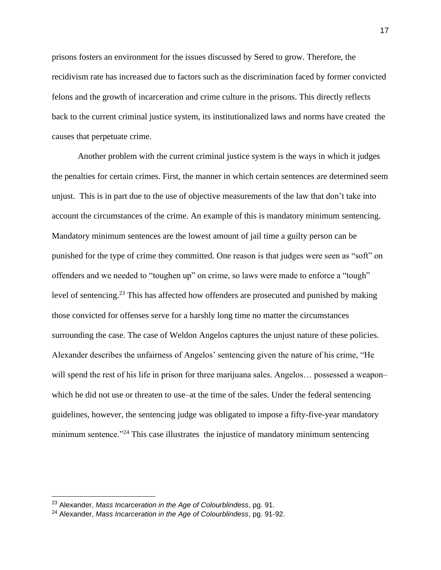prisons fosters an environment for the issues discussed by Sered to grow. Therefore, the recidivism rate has increased due to factors such as the discrimination faced by former convicted felons and the growth of incarceration and crime culture in the prisons. This directly reflects back to the current criminal justice system, its institutionalized laws and norms have created the causes that perpetuate crime.

Another problem with the current criminal justice system is the ways in which it judges the penalties for certain crimes. First, the manner in which certain sentences are determined seem unjust. This is in part due to the use of objective measurements of the law that don't take into account the circumstances of the crime. An example of this is mandatory minimum sentencing. Mandatory minimum sentences are the lowest amount of jail time a guilty person can be punished for the type of crime they committed. One reason is that judges were seen as "soft" on offenders and we needed to "toughen up" on crime, so laws were made to enforce a "tough" level of sentencing.<sup>23</sup> This has affected how offenders are prosecuted and punished by making those convicted for offenses serve for a harshly long time no matter the circumstances surrounding the case. The case of Weldon Angelos captures the unjust nature of these policies. Alexander describes the unfairness of Angelos' sentencing given the nature of his crime, "He will spend the rest of his life in prison for three marijuana sales. Angelos... possessed a weapon– which he did not use or threaten to use–at the time of the sales. Under the federal sentencing guidelines, however, the sentencing judge was obligated to impose a fifty-five-year mandatory minimum sentence.<sup>"24</sup> This case illustrates the injustice of mandatory minimum sentencing

<sup>23</sup> Alexander, *Mass Incarceration in the Age of Colourblindess*, pg. 91.

<sup>24</sup> Alexander, *Mass Incarceration in the Age of Colourblindess*, pg. 91-92.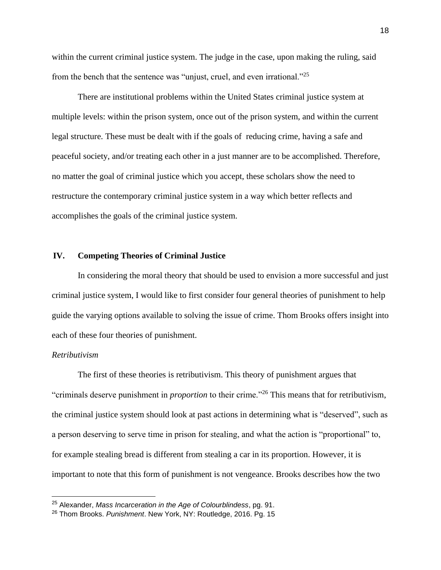within the current criminal justice system. The judge in the case, upon making the ruling, said from the bench that the sentence was "unjust, cruel, and even irrational."<sup>25</sup>

There are institutional problems within the United States criminal justice system at multiple levels: within the prison system, once out of the prison system, and within the current legal structure. These must be dealt with if the goals of reducing crime, having a safe and peaceful society, and/or treating each other in a just manner are to be accomplished. Therefore, no matter the goal of criminal justice which you accept, these scholars show the need to restructure the contemporary criminal justice system in a way which better reflects and accomplishes the goals of the criminal justice system.

#### **IV. Competing Theories of Criminal Justice**

In considering the moral theory that should be used to envision a more successful and just criminal justice system, I would like to first consider four general theories of punishment to help guide the varying options available to solving the issue of crime. Thom Brooks offers insight into each of these four theories of punishment.

#### *Retributivism*

The first of these theories is retributivism. This theory of punishment argues that "criminals deserve punishment in *proportion* to their crime."<sup>26</sup> This means that for retributivism, the criminal justice system should look at past actions in determining what is "deserved", such as a person deserving to serve time in prison for stealing, and what the action is "proportional" to, for example stealing bread is different from stealing a car in its proportion. However, it is important to note that this form of punishment is not vengeance. Brooks describes how the two

<sup>25</sup> Alexander, *Mass Incarceration in the Age of Colourblindess*, pg. 91.

<sup>26</sup> Thom Brooks. *Punishment*. New York, NY: Routledge, 2016. Pg. 15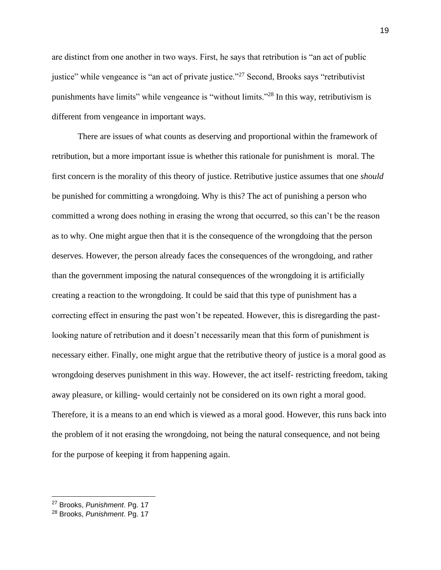are distinct from one another in two ways. First, he says that retribution is "an act of public justice" while vengeance is "an act of private justice."<sup>27</sup> Second, Brooks says "retributivist" punishments have limits" while vengeance is "without limits."<sup>28</sup> In this way, retributivism is different from vengeance in important ways.

There are issues of what counts as deserving and proportional within the framework of retribution, but a more important issue is whether this rationale for punishment is moral. The first concern is the morality of this theory of justice. Retributive justice assumes that one *should*  be punished for committing a wrongdoing. Why is this? The act of punishing a person who committed a wrong does nothing in erasing the wrong that occurred, so this can't be the reason as to why. One might argue then that it is the consequence of the wrongdoing that the person deserves. However, the person already faces the consequences of the wrongdoing, and rather than the government imposing the natural consequences of the wrongdoing it is artificially creating a reaction to the wrongdoing. It could be said that this type of punishment has a correcting effect in ensuring the past won't be repeated. However, this is disregarding the pastlooking nature of retribution and it doesn't necessarily mean that this form of punishment is necessary either. Finally, one might argue that the retributive theory of justice is a moral good as wrongdoing deserves punishment in this way. However, the act itself- restricting freedom, taking away pleasure, or killing- would certainly not be considered on its own right a moral good. Therefore, it is a means to an end which is viewed as a moral good. However, this runs back into the problem of it not erasing the wrongdoing, not being the natural consequence, and not being for the purpose of keeping it from happening again.

<sup>27</sup> Brooks, *Punishment*. Pg. 17

<sup>28</sup> Brooks, *Punishment*. Pg. 17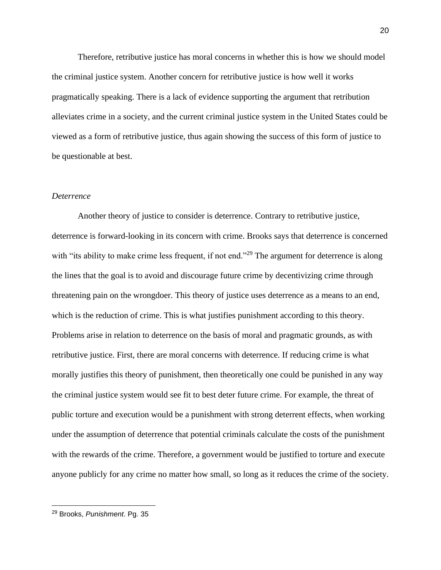Therefore, retributive justice has moral concerns in whether this is how we should model the criminal justice system. Another concern for retributive justice is how well it works pragmatically speaking. There is a lack of evidence supporting the argument that retribution alleviates crime in a society, and the current criminal justice system in the United States could be viewed as a form of retributive justice, thus again showing the success of this form of justice to be questionable at best.

#### *Deterrence*

Another theory of justice to consider is deterrence. Contrary to retributive justice, deterrence is forward-looking in its concern with crime. Brooks says that deterrence is concerned with "its ability to make crime less frequent, if not end."<sup>29</sup> The argument for deterrence is along the lines that the goal is to avoid and discourage future crime by decentivizing crime through threatening pain on the wrongdoer. This theory of justice uses deterrence as a means to an end, which is the reduction of crime. This is what justifies punishment according to this theory. Problems arise in relation to deterrence on the basis of moral and pragmatic grounds, as with retributive justice. First, there are moral concerns with deterrence. If reducing crime is what morally justifies this theory of punishment, then theoretically one could be punished in any way the criminal justice system would see fit to best deter future crime. For example, the threat of public torture and execution would be a punishment with strong deterrent effects, when working under the assumption of deterrence that potential criminals calculate the costs of the punishment with the rewards of the crime. Therefore, a government would be justified to torture and execute anyone publicly for any crime no matter how small, so long as it reduces the crime of the society.

<sup>29</sup> Brooks, *Punishment*. Pg. 35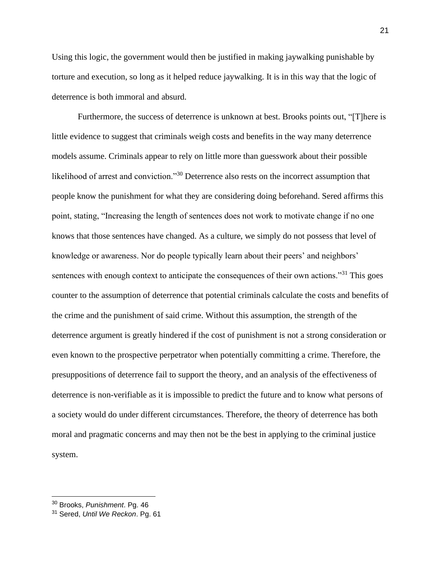Using this logic, the government would then be justified in making jaywalking punishable by torture and execution, so long as it helped reduce jaywalking. It is in this way that the logic of deterrence is both immoral and absurd.

Furthermore, the success of deterrence is unknown at best. Brooks points out, "[T]here is little evidence to suggest that criminals weigh costs and benefits in the way many deterrence models assume. Criminals appear to rely on little more than guesswork about their possible likelihood of arrest and conviction."<sup>30</sup> Deterrence also rests on the incorrect assumption that people know the punishment for what they are considering doing beforehand. Sered affirms this point, stating, "Increasing the length of sentences does not work to motivate change if no one knows that those sentences have changed. As a culture, we simply do not possess that level of knowledge or awareness. Nor do people typically learn about their peers' and neighbors' sentences with enough context to anticipate the consequences of their own actions."<sup>31</sup> This goes counter to the assumption of deterrence that potential criminals calculate the costs and benefits of the crime and the punishment of said crime. Without this assumption, the strength of the deterrence argument is greatly hindered if the cost of punishment is not a strong consideration or even known to the prospective perpetrator when potentially committing a crime. Therefore, the presuppositions of deterrence fail to support the theory, and an analysis of the effectiveness of deterrence is non-verifiable as it is impossible to predict the future and to know what persons of a society would do under different circumstances. Therefore, the theory of deterrence has both moral and pragmatic concerns and may then not be the best in applying to the criminal justice system.

<sup>30</sup> Brooks, *Punishment*. Pg. 46

<sup>31</sup> Sered, *Until We Reckon*. Pg. 61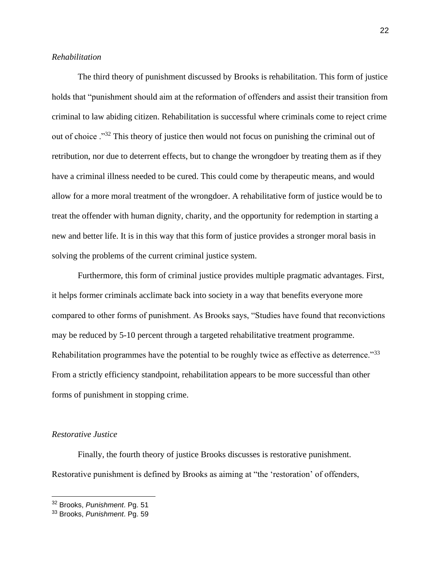### *Rehabilitation*

The third theory of punishment discussed by Brooks is rehabilitation. This form of justice holds that "punishment should aim at the reformation of offenders and assist their transition from criminal to law abiding citizen. Rehabilitation is successful where criminals come to reject crime out of choice ."<sup>32</sup> This theory of justice then would not focus on punishing the criminal out of retribution, nor due to deterrent effects, but to change the wrongdoer by treating them as if they have a criminal illness needed to be cured. This could come by therapeutic means, and would allow for a more moral treatment of the wrongdoer. A rehabilitative form of justice would be to treat the offender with human dignity, charity, and the opportunity for redemption in starting a new and better life. It is in this way that this form of justice provides a stronger moral basis in solving the problems of the current criminal justice system.

Furthermore, this form of criminal justice provides multiple pragmatic advantages. First, it helps former criminals acclimate back into society in a way that benefits everyone more compared to other forms of punishment. As Brooks says, "Studies have found that reconvictions may be reduced by 5-10 percent through a targeted rehabilitative treatment programme. Rehabilitation programmes have the potential to be roughly twice as effective as deterrence."33 From a strictly efficiency standpoint, rehabilitation appears to be more successful than other forms of punishment in stopping crime.

#### *Restorative Justice*

Finally, the fourth theory of justice Brooks discusses is restorative punishment. Restorative punishment is defined by Brooks as aiming at "the 'restoration' of offenders,

<sup>32</sup> Brooks, *Punishment*. Pg. 51

<sup>33</sup> Brooks, *Punishment*. Pg. 59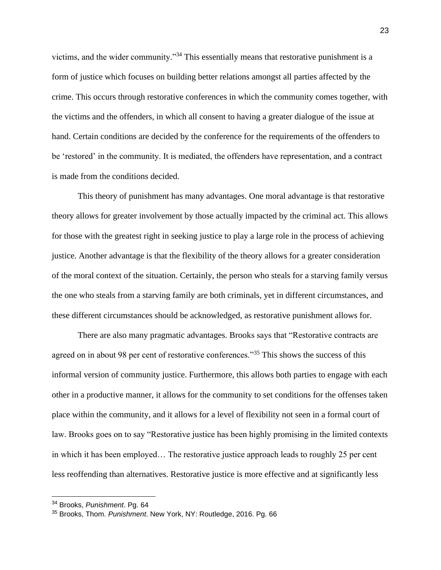victims, and the wider community."<sup>34</sup> This essentially means that restorative punishment is a form of justice which focuses on building better relations amongst all parties affected by the crime. This occurs through restorative conferences in which the community comes together, with the victims and the offenders, in which all consent to having a greater dialogue of the issue at hand. Certain conditions are decided by the conference for the requirements of the offenders to be 'restored' in the community. It is mediated, the offenders have representation, and a contract is made from the conditions decided.

This theory of punishment has many advantages. One moral advantage is that restorative theory allows for greater involvement by those actually impacted by the criminal act. This allows for those with the greatest right in seeking justice to play a large role in the process of achieving justice. Another advantage is that the flexibility of the theory allows for a greater consideration of the moral context of the situation. Certainly, the person who steals for a starving family versus the one who steals from a starving family are both criminals, yet in different circumstances, and these different circumstances should be acknowledged, as restorative punishment allows for.

There are also many pragmatic advantages. Brooks says that "Restorative contracts are agreed on in about 98 per cent of restorative conferences."<sup>35</sup> This shows the success of this informal version of community justice. Furthermore, this allows both parties to engage with each other in a productive manner, it allows for the community to set conditions for the offenses taken place within the community, and it allows for a level of flexibility not seen in a formal court of law. Brooks goes on to say "Restorative justice has been highly promising in the limited contexts in which it has been employed… The restorative justice approach leads to roughly 25 per cent less reoffending than alternatives. Restorative justice is more effective and at significantly less

<sup>34</sup> Brooks, *Punishment*. Pg. 64

<sup>35</sup> Brooks, Thom. *Punishment*. New York, NY: Routledge, 2016. Pg. 66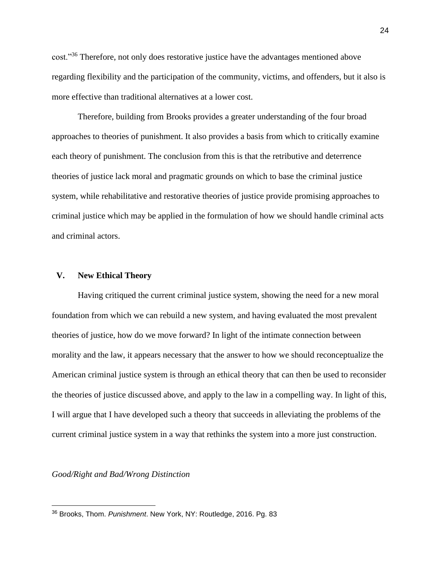cost."<sup>36</sup> Therefore, not only does restorative justice have the advantages mentioned above regarding flexibility and the participation of the community, victims, and offenders, but it also is more effective than traditional alternatives at a lower cost.

Therefore, building from Brooks provides a greater understanding of the four broad approaches to theories of punishment. It also provides a basis from which to critically examine each theory of punishment. The conclusion from this is that the retributive and deterrence theories of justice lack moral and pragmatic grounds on which to base the criminal justice system, while rehabilitative and restorative theories of justice provide promising approaches to criminal justice which may be applied in the formulation of how we should handle criminal acts and criminal actors.

#### **V. New Ethical Theory**

Having critiqued the current criminal justice system, showing the need for a new moral foundation from which we can rebuild a new system, and having evaluated the most prevalent theories of justice, how do we move forward? In light of the intimate connection between morality and the law, it appears necessary that the answer to how we should reconceptualize the American criminal justice system is through an ethical theory that can then be used to reconsider the theories of justice discussed above, and apply to the law in a compelling way. In light of this, I will argue that I have developed such a theory that succeeds in alleviating the problems of the current criminal justice system in a way that rethinks the system into a more just construction.

*Good/Right and Bad/Wrong Distinction*

<sup>36</sup> Brooks, Thom. *Punishment*. New York, NY: Routledge, 2016. Pg. 83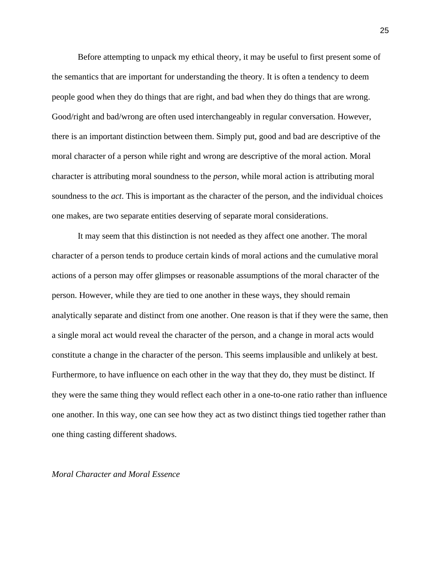Before attempting to unpack my ethical theory, it may be useful to first present some of the semantics that are important for understanding the theory. It is often a tendency to deem people good when they do things that are right, and bad when they do things that are wrong. Good/right and bad/wrong are often used interchangeably in regular conversation. However, there is an important distinction between them. Simply put, good and bad are descriptive of the moral character of a person while right and wrong are descriptive of the moral action. Moral character is attributing moral soundness to the *person*, while moral action is attributing moral soundness to the *act*. This is important as the character of the person, and the individual choices one makes, are two separate entities deserving of separate moral considerations.

It may seem that this distinction is not needed as they affect one another. The moral character of a person tends to produce certain kinds of moral actions and the cumulative moral actions of a person may offer glimpses or reasonable assumptions of the moral character of the person. However, while they are tied to one another in these ways, they should remain analytically separate and distinct from one another. One reason is that if they were the same, then a single moral act would reveal the character of the person, and a change in moral acts would constitute a change in the character of the person. This seems implausible and unlikely at best. Furthermore, to have influence on each other in the way that they do, they must be distinct. If they were the same thing they would reflect each other in a one-to-one ratio rather than influence one another. In this way, one can see how they act as two distinct things tied together rather than one thing casting different shadows.

#### *Moral Character and Moral Essence*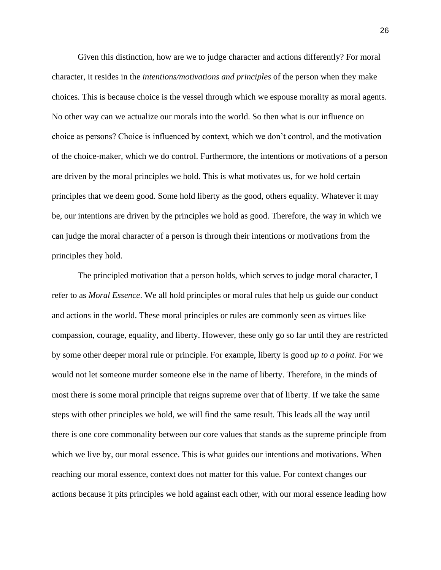Given this distinction, how are we to judge character and actions differently? For moral character, it resides in the *intentions/motivations and principles* of the person when they make choices. This is because choice is the vessel through which we espouse morality as moral agents. No other way can we actualize our morals into the world. So then what is our influence on choice as persons? Choice is influenced by context, which we don't control, and the motivation of the choice-maker, which we do control. Furthermore, the intentions or motivations of a person are driven by the moral principles we hold. This is what motivates us, for we hold certain principles that we deem good. Some hold liberty as the good, others equality. Whatever it may be, our intentions are driven by the principles we hold as good. Therefore, the way in which we can judge the moral character of a person is through their intentions or motivations from the principles they hold.

The principled motivation that a person holds, which serves to judge moral character, I refer to as *Moral Essence*. We all hold principles or moral rules that help us guide our conduct and actions in the world. These moral principles or rules are commonly seen as virtues like compassion, courage, equality, and liberty. However, these only go so far until they are restricted by some other deeper moral rule or principle. For example, liberty is good *up to a point.* For we would not let someone murder someone else in the name of liberty. Therefore, in the minds of most there is some moral principle that reigns supreme over that of liberty. If we take the same steps with other principles we hold, we will find the same result. This leads all the way until there is one core commonality between our core values that stands as the supreme principle from which we live by, our moral essence. This is what guides our intentions and motivations. When reaching our moral essence, context does not matter for this value. For context changes our actions because it pits principles we hold against each other, with our moral essence leading how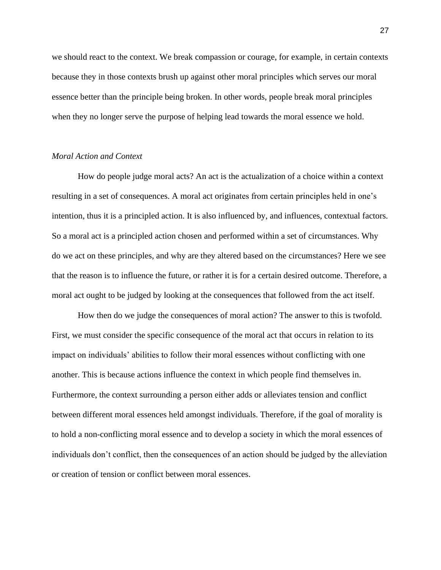we should react to the context. We break compassion or courage, for example, in certain contexts because they in those contexts brush up against other moral principles which serves our moral essence better than the principle being broken. In other words, people break moral principles when they no longer serve the purpose of helping lead towards the moral essence we hold.

#### *Moral Action and Context*

How do people judge moral acts? An act is the actualization of a choice within a context resulting in a set of consequences. A moral act originates from certain principles held in one's intention, thus it is a principled action. It is also influenced by, and influences, contextual factors. So a moral act is a principled action chosen and performed within a set of circumstances. Why do we act on these principles, and why are they altered based on the circumstances? Here we see that the reason is to influence the future, or rather it is for a certain desired outcome. Therefore, a moral act ought to be judged by looking at the consequences that followed from the act itself.

How then do we judge the consequences of moral action? The answer to this is twofold. First, we must consider the specific consequence of the moral act that occurs in relation to its impact on individuals' abilities to follow their moral essences without conflicting with one another. This is because actions influence the context in which people find themselves in. Furthermore, the context surrounding a person either adds or alleviates tension and conflict between different moral essences held amongst individuals. Therefore, if the goal of morality is to hold a non-conflicting moral essence and to develop a society in which the moral essences of individuals don't conflict, then the consequences of an action should be judged by the alleviation or creation of tension or conflict between moral essences.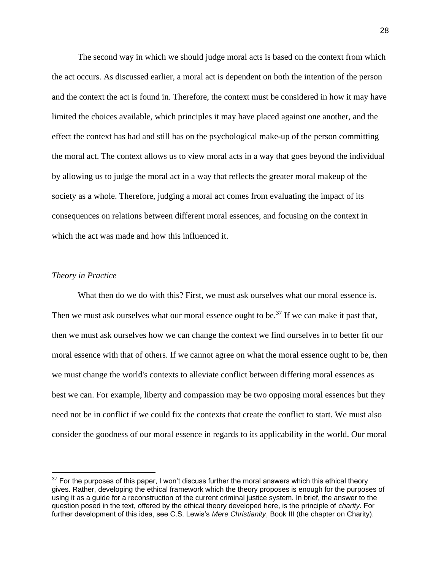The second way in which we should judge moral acts is based on the context from which the act occurs. As discussed earlier, a moral act is dependent on both the intention of the person and the context the act is found in. Therefore, the context must be considered in how it may have limited the choices available, which principles it may have placed against one another, and the effect the context has had and still has on the psychological make-up of the person committing the moral act. The context allows us to view moral acts in a way that goes beyond the individual by allowing us to judge the moral act in a way that reflects the greater moral makeup of the society as a whole. Therefore, judging a moral act comes from evaluating the impact of its consequences on relations between different moral essences, and focusing on the context in which the act was made and how this influenced it.

#### *Theory in Practice*

What then do we do with this? First, we must ask ourselves what our moral essence is. Then we must ask ourselves what our moral essence ought to be.<sup>37</sup> If we can make it past that, then we must ask ourselves how we can change the context we find ourselves in to better fit our moral essence with that of others. If we cannot agree on what the moral essence ought to be, then we must change the world's contexts to alleviate conflict between differing moral essences as best we can. For example, liberty and compassion may be two opposing moral essences but they need not be in conflict if we could fix the contexts that create the conflict to start. We must also consider the goodness of our moral essence in regards to its applicability in the world. Our moral

 $37$  For the purposes of this paper, I won't discuss further the moral answers which this ethical theory gives. Rather, developing the ethical framework which the theory proposes is enough for the purposes of using it as a guide for a reconstruction of the current criminal justice system. In brief, the answer to the question posed in the text, offered by the ethical theory developed here, is the principle of *charity*. For further development of this idea, see C.S. Lewis's *Mere Christianity*, Book III (the chapter on Charity).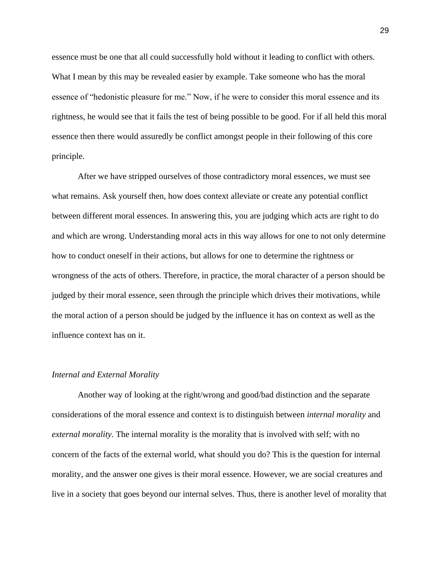essence must be one that all could successfully hold without it leading to conflict with others. What I mean by this may be revealed easier by example. Take someone who has the moral essence of "hedonistic pleasure for me." Now, if he were to consider this moral essence and its rightness, he would see that it fails the test of being possible to be good. For if all held this moral essence then there would assuredly be conflict amongst people in their following of this core principle.

After we have stripped ourselves of those contradictory moral essences, we must see what remains. Ask yourself then, how does context alleviate or create any potential conflict between different moral essences. In answering this, you are judging which acts are right to do and which are wrong. Understanding moral acts in this way allows for one to not only determine how to conduct oneself in their actions, but allows for one to determine the rightness or wrongness of the acts of others. Therefore, in practice, the moral character of a person should be judged by their moral essence, seen through the principle which drives their motivations, while the moral action of a person should be judged by the influence it has on context as well as the influence context has on it.

#### *Internal and External Morality*

Another way of looking at the right/wrong and good/bad distinction and the separate considerations of the moral essence and context is to distinguish between *internal morality* and *external morality*. The internal morality is the morality that is involved with self; with no concern of the facts of the external world, what should you do? This is the question for internal morality, and the answer one gives is their moral essence. However, we are social creatures and live in a society that goes beyond our internal selves. Thus, there is another level of morality that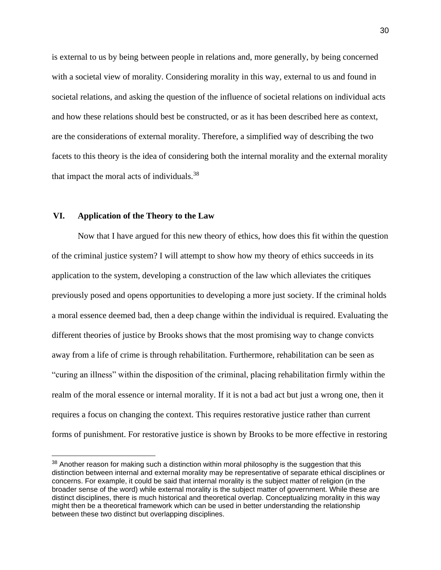is external to us by being between people in relations and, more generally, by being concerned with a societal view of morality. Considering morality in this way, external to us and found in societal relations, and asking the question of the influence of societal relations on individual acts and how these relations should best be constructed, or as it has been described here as context, are the considerations of external morality. Therefore, a simplified way of describing the two facets to this theory is the idea of considering both the internal morality and the external morality that impact the moral acts of individuals.<sup>38</sup>

#### **VI. Application of the Theory to the Law**

Now that I have argued for this new theory of ethics, how does this fit within the question of the criminal justice system? I will attempt to show how my theory of ethics succeeds in its application to the system, developing a construction of the law which alleviates the critiques previously posed and opens opportunities to developing a more just society. If the criminal holds a moral essence deemed bad, then a deep change within the individual is required. Evaluating the different theories of justice by Brooks shows that the most promising way to change convicts away from a life of crime is through rehabilitation. Furthermore, rehabilitation can be seen as "curing an illness" within the disposition of the criminal, placing rehabilitation firmly within the realm of the moral essence or internal morality. If it is not a bad act but just a wrong one, then it requires a focus on changing the context. This requires restorative justice rather than current forms of punishment. For restorative justice is shown by Brooks to be more effective in restoring

 $38$  Another reason for making such a distinction within moral philosophy is the suggestion that this distinction between internal and external morality may be representative of separate ethical disciplines or concerns. For example, it could be said that internal morality is the subject matter of religion (in the broader sense of the word) while external morality is the subject matter of government. While these are distinct disciplines, there is much historical and theoretical overlap. Conceptualizing morality in this way might then be a theoretical framework which can be used in better understanding the relationship between these two distinct but overlapping disciplines.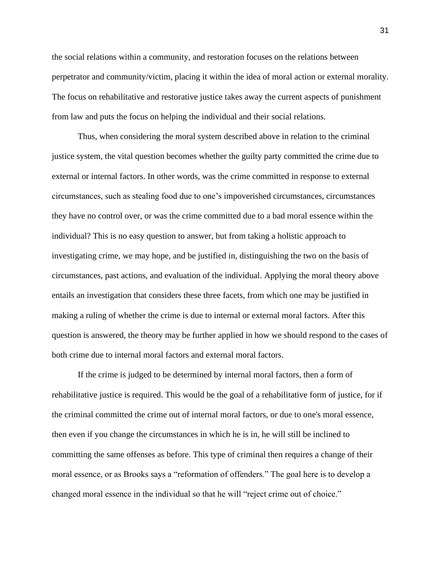the social relations within a community, and restoration focuses on the relations between perpetrator and community/victim, placing it within the idea of moral action or external morality. The focus on rehabilitative and restorative justice takes away the current aspects of punishment from law and puts the focus on helping the individual and their social relations.

Thus, when considering the moral system described above in relation to the criminal justice system, the vital question becomes whether the guilty party committed the crime due to external or internal factors. In other words, was the crime committed in response to external circumstances, such as stealing food due to one's impoverished circumstances, circumstances they have no control over, or was the crime committed due to a bad moral essence within the individual? This is no easy question to answer, but from taking a holistic approach to investigating crime, we may hope, and be justified in, distinguishing the two on the basis of circumstances, past actions, and evaluation of the individual. Applying the moral theory above entails an investigation that considers these three facets, from which one may be justified in making a ruling of whether the crime is due to internal or external moral factors. After this question is answered, the theory may be further applied in how we should respond to the cases of both crime due to internal moral factors and external moral factors.

If the crime is judged to be determined by internal moral factors, then a form of rehabilitative justice is required. This would be the goal of a rehabilitative form of justice, for if the criminal committed the crime out of internal moral factors, or due to one's moral essence, then even if you change the circumstances in which he is in, he will still be inclined to committing the same offenses as before. This type of criminal then requires a change of their moral essence, or as Brooks says a "reformation of offenders." The goal here is to develop a changed moral essence in the individual so that he will "reject crime out of choice."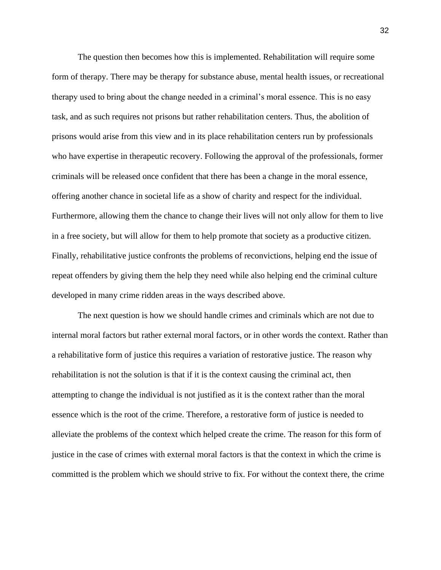The question then becomes how this is implemented. Rehabilitation will require some form of therapy. There may be therapy for substance abuse, mental health issues, or recreational therapy used to bring about the change needed in a criminal's moral essence. This is no easy task, and as such requires not prisons but rather rehabilitation centers. Thus, the abolition of prisons would arise from this view and in its place rehabilitation centers run by professionals who have expertise in therapeutic recovery. Following the approval of the professionals, former criminals will be released once confident that there has been a change in the moral essence, offering another chance in societal life as a show of charity and respect for the individual. Furthermore, allowing them the chance to change their lives will not only allow for them to live in a free society, but will allow for them to help promote that society as a productive citizen. Finally, rehabilitative justice confronts the problems of reconvictions, helping end the issue of repeat offenders by giving them the help they need while also helping end the criminal culture developed in many crime ridden areas in the ways described above.

The next question is how we should handle crimes and criminals which are not due to internal moral factors but rather external moral factors, or in other words the context. Rather than a rehabilitative form of justice this requires a variation of restorative justice. The reason why rehabilitation is not the solution is that if it is the context causing the criminal act, then attempting to change the individual is not justified as it is the context rather than the moral essence which is the root of the crime. Therefore, a restorative form of justice is needed to alleviate the problems of the context which helped create the crime. The reason for this form of justice in the case of crimes with external moral factors is that the context in which the crime is committed is the problem which we should strive to fix. For without the context there, the crime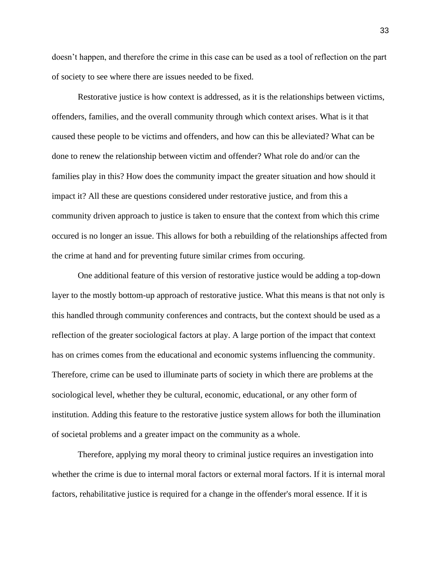doesn't happen, and therefore the crime in this case can be used as a tool of reflection on the part of society to see where there are issues needed to be fixed.

Restorative justice is how context is addressed, as it is the relationships between victims, offenders, families, and the overall community through which context arises. What is it that caused these people to be victims and offenders, and how can this be alleviated? What can be done to renew the relationship between victim and offender? What role do and/or can the families play in this? How does the community impact the greater situation and how should it impact it? All these are questions considered under restorative justice, and from this a community driven approach to justice is taken to ensure that the context from which this crime occured is no longer an issue. This allows for both a rebuilding of the relationships affected from the crime at hand and for preventing future similar crimes from occuring.

One additional feature of this version of restorative justice would be adding a top-down layer to the mostly bottom-up approach of restorative justice. What this means is that not only is this handled through community conferences and contracts, but the context should be used as a reflection of the greater sociological factors at play. A large portion of the impact that context has on crimes comes from the educational and economic systems influencing the community. Therefore, crime can be used to illuminate parts of society in which there are problems at the sociological level, whether they be cultural, economic, educational, or any other form of institution. Adding this feature to the restorative justice system allows for both the illumination of societal problems and a greater impact on the community as a whole.

Therefore, applying my moral theory to criminal justice requires an investigation into whether the crime is due to internal moral factors or external moral factors. If it is internal moral factors, rehabilitative justice is required for a change in the offender's moral essence. If it is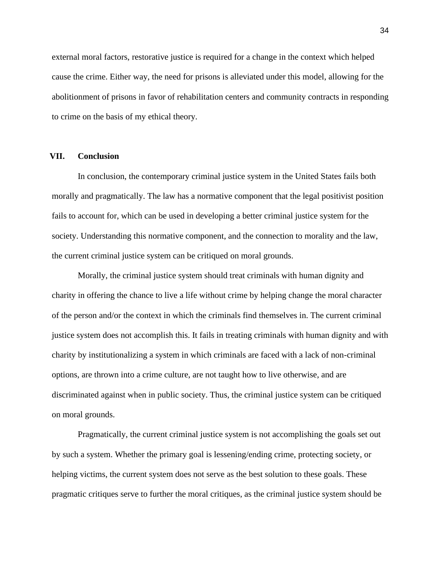external moral factors, restorative justice is required for a change in the context which helped cause the crime. Either way, the need for prisons is alleviated under this model, allowing for the abolitionment of prisons in favor of rehabilitation centers and community contracts in responding to crime on the basis of my ethical theory.

#### **VII. Conclusion**

In conclusion, the contemporary criminal justice system in the United States fails both morally and pragmatically. The law has a normative component that the legal positivist position fails to account for, which can be used in developing a better criminal justice system for the society. Understanding this normative component, and the connection to morality and the law, the current criminal justice system can be critiqued on moral grounds.

Morally, the criminal justice system should treat criminals with human dignity and charity in offering the chance to live a life without crime by helping change the moral character of the person and/or the context in which the criminals find themselves in. The current criminal justice system does not accomplish this. It fails in treating criminals with human dignity and with charity by institutionalizing a system in which criminals are faced with a lack of non-criminal options, are thrown into a crime culture, are not taught how to live otherwise, and are discriminated against when in public society. Thus, the criminal justice system can be critiqued on moral grounds.

Pragmatically, the current criminal justice system is not accomplishing the goals set out by such a system. Whether the primary goal is lessening/ending crime, protecting society, or helping victims, the current system does not serve as the best solution to these goals. These pragmatic critiques serve to further the moral critiques, as the criminal justice system should be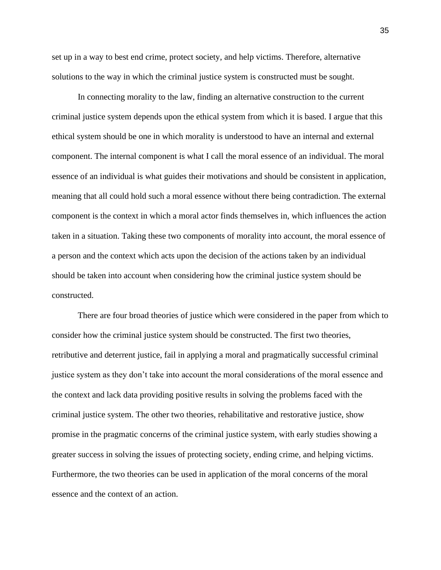set up in a way to best end crime, protect society, and help victims. Therefore, alternative solutions to the way in which the criminal justice system is constructed must be sought.

In connecting morality to the law, finding an alternative construction to the current criminal justice system depends upon the ethical system from which it is based. I argue that this ethical system should be one in which morality is understood to have an internal and external component. The internal component is what I call the moral essence of an individual. The moral essence of an individual is what guides their motivations and should be consistent in application, meaning that all could hold such a moral essence without there being contradiction. The external component is the context in which a moral actor finds themselves in, which influences the action taken in a situation. Taking these two components of morality into account, the moral essence of a person and the context which acts upon the decision of the actions taken by an individual should be taken into account when considering how the criminal justice system should be constructed.

There are four broad theories of justice which were considered in the paper from which to consider how the criminal justice system should be constructed. The first two theories, retributive and deterrent justice, fail in applying a moral and pragmatically successful criminal justice system as they don't take into account the moral considerations of the moral essence and the context and lack data providing positive results in solving the problems faced with the criminal justice system. The other two theories, rehabilitative and restorative justice, show promise in the pragmatic concerns of the criminal justice system, with early studies showing a greater success in solving the issues of protecting society, ending crime, and helping victims. Furthermore, the two theories can be used in application of the moral concerns of the moral essence and the context of an action.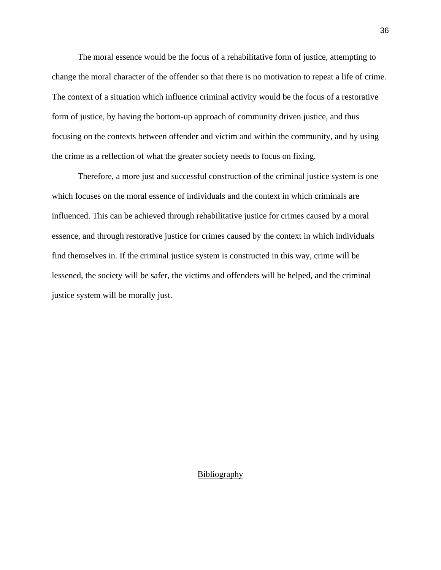The moral essence would be the focus of a rehabilitative form of justice, attempting to change the moral character of the offender so that there is no motivation to repeat a life of crime. The context of a situation which influence criminal activity would be the focus of a restorative form of justice, by having the bottom-up approach of community driven justice, and thus focusing on the contexts between offender and victim and within the community, and by using the crime as a reflection of what the greater society needs to focus on fixing.

Therefore, a more just and successful construction of the criminal justice system is one which focuses on the moral essence of individuals and the context in which criminals are influenced. This can be achieved through rehabilitative justice for crimes caused by a moral essence, and through restorative justice for crimes caused by the context in which individuals find themselves in. If the criminal justice system is constructed in this way, crime will be lessened, the society will be safer, the victims and offenders will be helped, and the criminal justice system will be morally just.

## **Bibliography**